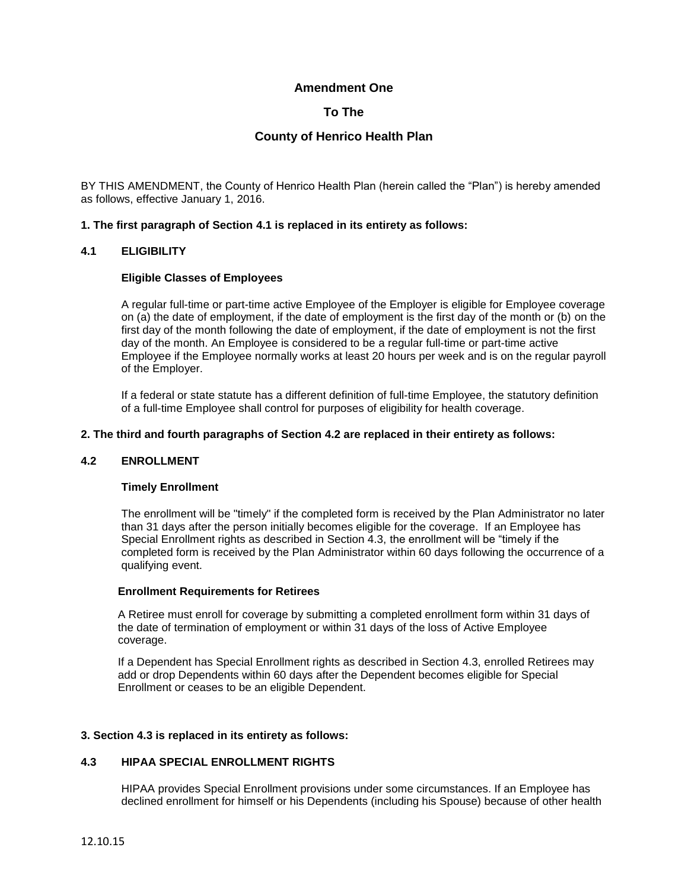### **Amendment One**

# **To The**

# **County of Henrico Health Plan**

BY THIS AMENDMENT, the County of Henrico Health Plan (herein called the "Plan") is hereby amended as follows, effective January 1, 2016.

#### **1. The first paragraph of Section 4.1 is replaced in its entirety as follows:**

### **4.1 ELIGIBILITY**

#### **Eligible Classes of Employees**

A regular full-time or part-time active Employee of the Employer is eligible for Employee coverage on (a) the date of employment, if the date of employment is the first day of the month or (b) on the first day of the month following the date of employment, if the date of employment is not the first day of the month. An Employee is considered to be a regular full-time or part-time active Employee if the Employee normally works at least 20 hours per week and is on the regular payroll of the Employer.

If a federal or state statute has a different definition of full-time Employee, the statutory definition of a full-time Employee shall control for purposes of eligibility for health coverage.

#### **2. The third and fourth paragraphs of Section 4.2 are replaced in their entirety as follows:**

#### **4.2 ENROLLMENT**

#### **Timely Enrollment**

The enrollment will be "timely" if the completed form is received by the Plan Administrator no later than 31 days after the person initially becomes eligible for the coverage. If an Employee has Special Enrollment rights as described in Section 4.3, the enrollment will be "timely if the completed form is received by the Plan Administrator within 60 days following the occurrence of a qualifying event.

#### **Enrollment Requirements for Retirees**

A Retiree must enroll for coverage by submitting a completed enrollment form within 31 days of the date of termination of employment or within 31 days of the loss of Active Employee coverage.

If a Dependent has Special Enrollment rights as described in Section 4.3, enrolled Retirees may add or drop Dependents within 60 days after the Dependent becomes eligible for Special Enrollment or ceases to be an eligible Dependent.

#### **3. Section 4.3 is replaced in its entirety as follows:**

#### **4.3 HIPAA SPECIAL ENROLLMENT RIGHTS**

HIPAA provides Special Enrollment provisions under some circumstances. If an Employee has declined enrollment for himself or his Dependents (including his Spouse) because of other health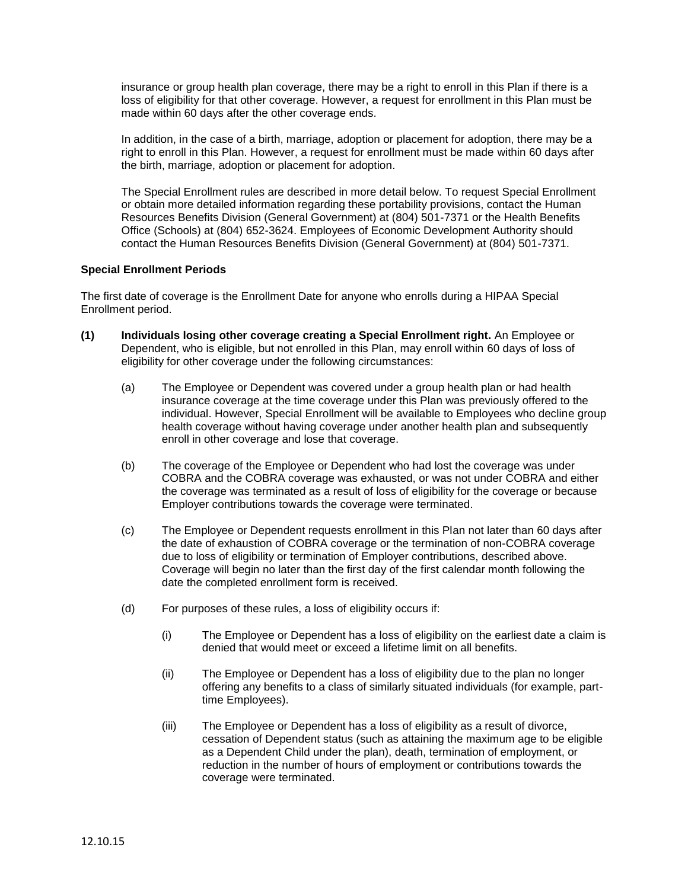insurance or group health plan coverage, there may be a right to enroll in this Plan if there is a loss of eligibility for that other coverage. However, a request for enrollment in this Plan must be made within 60 days after the other coverage ends.

In addition, in the case of a birth, marriage, adoption or placement for adoption, there may be a right to enroll in this Plan. However, a request for enrollment must be made within 60 days after the birth, marriage, adoption or placement for adoption.

The Special Enrollment rules are described in more detail below. To request Special Enrollment or obtain more detailed information regarding these portability provisions, contact the Human Resources Benefits Division (General Government) at (804) 501-7371 or the Health Benefits Office (Schools) at (804) 652-3624. Employees of Economic Development Authority should contact the Human Resources Benefits Division (General Government) at (804) 501-7371.

#### **Special Enrollment Periods**

The first date of coverage is the Enrollment Date for anyone who enrolls during a HIPAA Special Enrollment period.

- **(1) Individuals losing other coverage creating a Special Enrollment right.** An Employee or Dependent, who is eligible, but not enrolled in this Plan, may enroll within 60 days of loss of eligibility for other coverage under the following circumstances:
	- (a) The Employee or Dependent was covered under a group health plan or had health insurance coverage at the time coverage under this Plan was previously offered to the individual. However, Special Enrollment will be available to Employees who decline group health coverage without having coverage under another health plan and subsequently enroll in other coverage and lose that coverage.
	- (b) The coverage of the Employee or Dependent who had lost the coverage was under COBRA and the COBRA coverage was exhausted, or was not under COBRA and either the coverage was terminated as a result of loss of eligibility for the coverage or because Employer contributions towards the coverage were terminated.
	- (c) The Employee or Dependent requests enrollment in this Plan not later than 60 days after the date of exhaustion of COBRA coverage or the termination of non-COBRA coverage due to loss of eligibility or termination of Employer contributions, described above. Coverage will begin no later than the first day of the first calendar month following the date the completed enrollment form is received.
	- (d) For purposes of these rules, a loss of eligibility occurs if:
		- (i) The Employee or Dependent has a loss of eligibility on the earliest date a claim is denied that would meet or exceed a lifetime limit on all benefits.
		- (ii) The Employee or Dependent has a loss of eligibility due to the plan no longer offering any benefits to a class of similarly situated individuals (for example, parttime Employees).
		- (iii) The Employee or Dependent has a loss of eligibility as a result of divorce, cessation of Dependent status (such as attaining the maximum age to be eligible as a Dependent Child under the plan), death, termination of employment, or reduction in the number of hours of employment or contributions towards the coverage were terminated.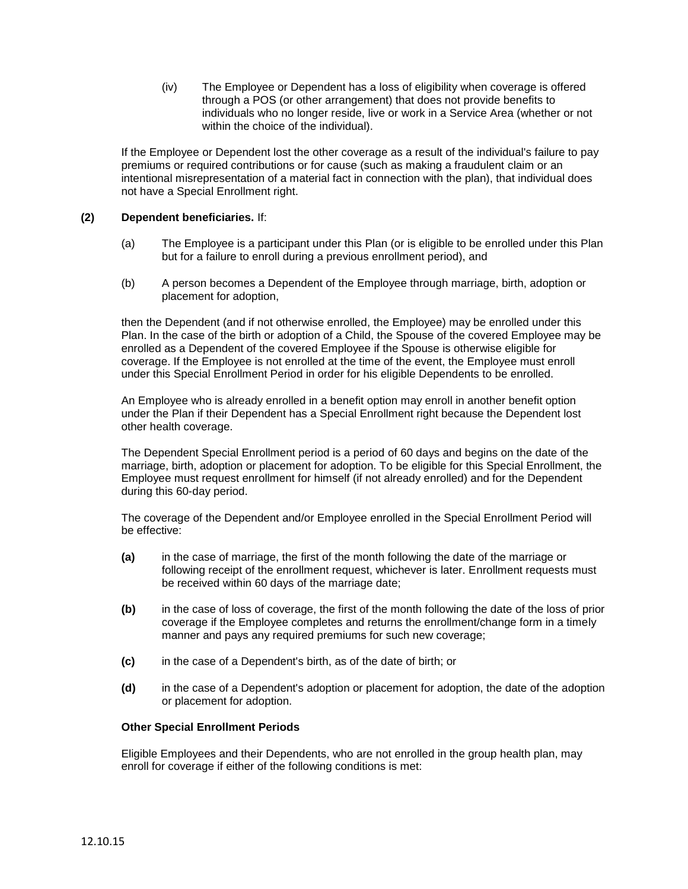(iv) The Employee or Dependent has a loss of eligibility when coverage is offered through a POS (or other arrangement) that does not provide benefits to individuals who no longer reside, live or work in a Service Area (whether or not within the choice of the individual).

If the Employee or Dependent lost the other coverage as a result of the individual's failure to pay premiums or required contributions or for cause (such as making a fraudulent claim or an intentional misrepresentation of a material fact in connection with the plan), that individual does not have a Special Enrollment right.

#### **(2) Dependent beneficiaries.** If:

- (a) The Employee is a participant under this Plan (or is eligible to be enrolled under this Plan but for a failure to enroll during a previous enrollment period), and
- (b) A person becomes a Dependent of the Employee through marriage, birth, adoption or placement for adoption,

then the Dependent (and if not otherwise enrolled, the Employee) may be enrolled under this Plan. In the case of the birth or adoption of a Child, the Spouse of the covered Employee may be enrolled as a Dependent of the covered Employee if the Spouse is otherwise eligible for coverage. If the Employee is not enrolled at the time of the event, the Employee must enroll under this Special Enrollment Period in order for his eligible Dependents to be enrolled.

An Employee who is already enrolled in a benefit option may enroll in another benefit option under the Plan if their Dependent has a Special Enrollment right because the Dependent lost other health coverage.

The Dependent Special Enrollment period is a period of 60 days and begins on the date of the marriage, birth, adoption or placement for adoption. To be eligible for this Special Enrollment, the Employee must request enrollment for himself (if not already enrolled) and for the Dependent during this 60-day period.

The coverage of the Dependent and/or Employee enrolled in the Special Enrollment Period will be effective:

- **(a)** in the case of marriage, the first of the month following the date of the marriage or following receipt of the enrollment request, whichever is later. Enrollment requests must be received within 60 days of the marriage date;
- **(b)** in the case of loss of coverage, the first of the month following the date of the loss of prior coverage if the Employee completes and returns the enrollment/change form in a timely manner and pays any required premiums for such new coverage;
- **(c)** in the case of a Dependent's birth, as of the date of birth; or
- **(d)** in the case of a Dependent's adoption or placement for adoption, the date of the adoption or placement for adoption.

#### **Other Special Enrollment Periods**

Eligible Employees and their Dependents, who are not enrolled in the group health plan, may enroll for coverage if either of the following conditions is met: